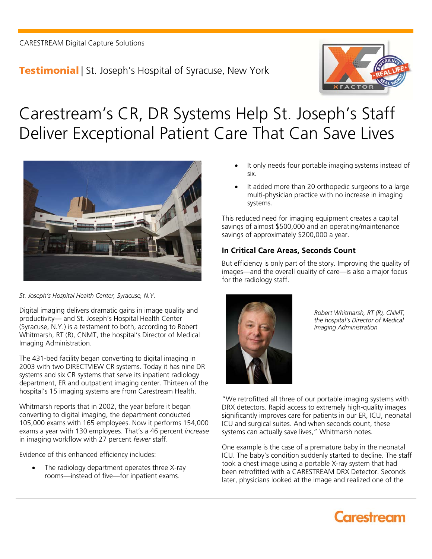**Testimonial** | St. Joseph's Hospital of Syracuse, New York



# Carestream's CR, DR Systems Help St. Joseph's Staff Deliver Exceptional Patient Care That Can Save Lives



*St. Joseph's Hospital Health Center, Syracuse, N.Y.* 

Digital imaging delivers dramatic gains in image quality and productivity— and St. Joseph's Hospital Health Center (Syracuse, N.Y.) is a testament to both, according to Robert Whitmarsh, RT (R), CNMT, the hospital's Director of Medical Imaging Administration.

The 431-bed facility began converting to digital imaging in 2003 with two DIRECTVIEW CR systems. Today it has nine DR systems and six CR systems that serve its inpatient radiology department, ER and outpatient imaging center. Thirteen of the hospital's 15 imaging systems are from Carestream Health.

Whitmarsh reports that in 2002, the year before it began converting to digital imaging, the department conducted 105,000 exams with 165 employees. Now it performs 154,000 exams a year with 130 employees. That's a 46 percent *increase* in imaging workflow with 27 percent *fewer* staff.

Evidence of this enhanced efficiency includes:

 The radiology department operates three X-ray rooms—instead of five—for inpatient exams.

- It only needs four portable imaging systems instead of six.
- It added more than 20 orthopedic surgeons to a large multi-physician practice with no increase in imaging systems.

This reduced need for imaging equipment creates a capital savings of almost \$500,000 and an operating/maintenance savings of approximately \$200,000 a year.

### **In Critical Care Areas, Seconds Count**

But efficiency is only part of the story. Improving the quality of images—and the overall quality of care—is also a major focus for the radiology staff.



*Robert Whitmarsh, RT (R), CNMT, the hospital's Director of Medical Imaging Administration*

"We retrofitted all three of our portable imaging systems with DRX detectors. Rapid access to extremely high-quality images significantly improves care for patients in our ER, ICU, neonatal ICU and surgical suites. And when seconds count, these systems can actually save lives," Whitmarsh notes.

One example is the case of a premature baby in the neonatal ICU. The baby's condition suddenly started to decline. The staff took a chest image using a portable X-ray system that had been retrofitted with a CARESTREAM DRX Detector. Seconds later, physicians looked at the image and realized one of the